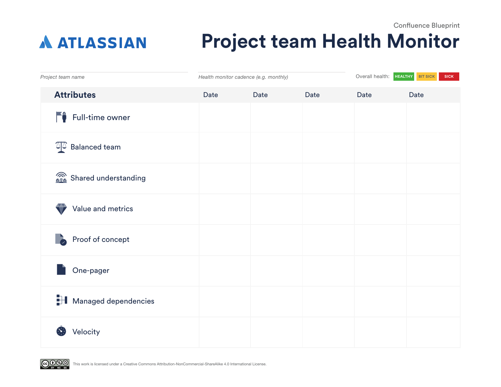## Confluence Blueprint **Project team Health Monitor A ATLASSIAN**

| Project team name             | Health monitor cadence (e.g. monthly) |      |      | Overall health:<br><b>HEALTHY</b> | <b>BIT SICK</b><br><b>SICK</b> |
|-------------------------------|---------------------------------------|------|------|-----------------------------------|--------------------------------|
| <b>Attributes</b>             | Date                                  | Date | Date | Date                              | Date                           |
| Full-time owner               |                                       |      |      |                                   |                                |
| $\sqrt[3]{2}$ Balanced team   |                                       |      |      |                                   |                                |
| Shared understanding          |                                       |      |      |                                   |                                |
| Value and metrics             |                                       |      |      |                                   |                                |
| Proof of concept              |                                       |      |      |                                   |                                |
| One-pager                     |                                       |      |      |                                   |                                |
| <b>H</b> Managed dependencies |                                       |      |      |                                   |                                |
| Velocity                      |                                       |      |      |                                   |                                |